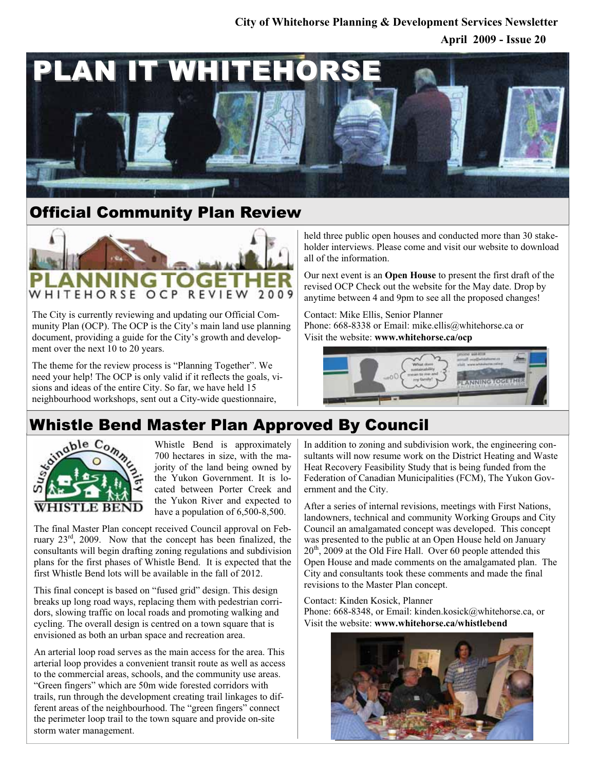### **April 2009 - Issue 20 City of Whitehorse Planning & Development Services Newsletter**



### Official Community Plan Review



The City is currently reviewing and updating our Official Community Plan (OCP). The OCP is the City's main land use planning document, providing a guide for the City's growth and development over the next 10 to 20 years.

The theme for the review process is "Planning Together". We need your help! The OCP is only valid if it reflects the goals, visions and ideas of the entire City. So far, we have held 15 neighbourhood workshops, sent out a City-wide questionnaire,

held three public open houses and conducted more than 30 stakeholder interviews. Please come and visit our website to download all of the information.

Our next event is an **Open House** to present the first draft of the revised OCP Check out the website for the May date. Drop by anytime between 4 and 9pm to see all the proposed changes!

Contact: Mike Ellis, Senior Planner Phone: 668-8338 or Email: mike.ellis@whitehorse.ca or Visit the website: **www.whitehorse.ca/ocp**



## Whistle Bend Master Plan Approved By Council



Whistle Bend is approximately 700 hectares in size, with the majority of the land being owned by the Yukon Government. It is located between Porter Creek and the Yukon River and expected to have a population of 6,500-8,500.

The final Master Plan concept received Council approval on February 23rd, 2009. Now that the concept has been finalized, the consultants will begin drafting zoning regulations and subdivision plans for the first phases of Whistle Bend. It is expected that the first Whistle Bend lots will be available in the fall of 2012.

This final concept is based on "fused grid" design. This design breaks up long road ways, replacing them with pedestrian corridors, slowing traffic on local roads and promoting walking and cycling. The overall design is centred on a town square that is envisioned as both an urban space and recreation area.

An arterial loop road serves as the main access for the area. This arterial loop provides a convenient transit route as well as access to the commercial areas, schools, and the community use areas. "Green fingers" which are 50m wide forested corridors with trails, run through the development creating trail linkages to different areas of the neighbourhood. The "green fingers" connect the perimeter loop trail to the town square and provide on-site storm water management.

In addition to zoning and subdivision work, the engineering consultants will now resume work on the District Heating and Waste Heat Recovery Feasibility Study that is being funded from the Federation of Canadian Municipalities (FCM), The Yukon Government and the City.

After a series of internal revisions, meetings with First Nations, landowners, technical and community Working Groups and City Council an amalgamated concept was developed. This concept was presented to the public at an Open House held on January 20<sup>th</sup>, 2009 at the Old Fire Hall. Over 60 people attended this Open House and made comments on the amalgamated plan. The City and consultants took these comments and made the final revisions to the Master Plan concept.

Contact: Kinden Kosick, Planner Phone: 668-8348, or Email: kinden.kosick@whitehorse.ca, or Visit the website: **www.whitehorse.ca/whistlebend**